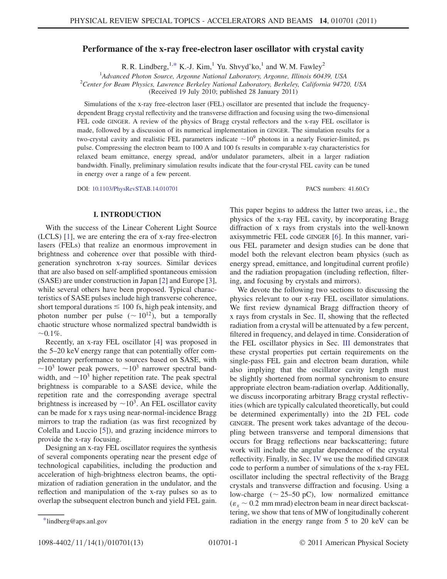# Performance of the x-ray free-electron laser oscillator with crystal cavity

R. R. Lindberg,  $^{1,*}$  $^{1,*}$  $^{1,*}$  K.-J. Kim,<sup>1</sup> Yu. Shvyd'ko,<sup>1</sup> and W. M. Fawley<sup>2</sup>

<span id="page-0-1"></span><sup>1</sup> Advanced Photon Source, Argonne National Laboratory, Argonne, Illinois 60439, USA<br><sup>2</sup> Center for Beam Physics, Lawrence Barkeley National Laboratory, Barkeley, California 9472

 $^{2}$ Center for Beam Physics, Lawrence Berkeley National Laboratory, Berkeley, California 94720, USA

(Received 19 July 2010; published 28 January 2011)

Simulations of the x-ray free-electron laser (FEL) oscillator are presented that include the frequencydependent Bragg crystal reflectivity and the transverse diffraction and focusing using the two-dimensional FEL code GINGER. A review of the physics of Bragg crystal reflectors and the x-ray FEL oscillator is made, followed by a discussion of its numerical implementation in GINGER. The simulation results for a two-crystal cavity and realistic FEL parameters indicate  $\sim 10^9$  photons in a nearly Fourier-limited, ps pulse. Compressing the electron beam to 100 A and 100 fs results in comparable x-ray characteristics for relaxed beam emittance, energy spread, and/or undulator parameters, albeit in a larger radiation bandwidth. Finally, preliminary simulation results indicate that the four-crystal FEL cavity can be tuned in energy over a range of a few percent.

DOI: [10.1103/PhysRevSTAB.14.010701](http://dx.doi.org/10.1103/PhysRevSTAB.14.010701) PACS numbers: 41.60.Cr

### I. INTRODUCTION

With the success of the Linear Coherent Light Source (LCLS) [\[1](#page-12-0)], we are entering the era of x-ray free-electron lasers (FELs) that realize an enormous improvement in brightness and coherence over that possible with thirdgeneration synchrotron x-ray sources. Similar devices that are also based on self-amplified spontaneous emission (SASE) are under construction in Japan [[2\]](#page-12-1) and Europe [[3\]](#page-12-2), while several others have been proposed. Typical characteristics of SASE pulses include high transverse coherence, short temporal durations  $\leq 100$  fs, high peak intensity, and photon number per pulse  $({\sim 10^{12}})$ , but a temporally chaotic structure whose normalized spectral bandwidth is  $\sim 0.1\%$ .

Recently, an x-ray FEL oscillator [\[4](#page-12-3)] was proposed in the 5–20 keV energy range that can potentially offer complementary performance to sources based on SASE, with  $\sim$ 10<sup>3</sup> lower peak powers,  $\sim$ 10<sup>3</sup> narrower spectral bandwidth, and  $\sim 10^3$  higher repetition rate. The peak spectral brightness is comparable to a SASE device, while the repetition rate and the corresponding average spectral brightness is increased by  $\sim 10^3$ . An FEL oscillator cavity can be made for x rays using near-normal-incidence Bragg mirrors to trap the radiation (as was first recognized by Colella and Luccio [[5](#page-12-4)]), and grazing incidence mirrors to provide the x-ray focusing.

<span id="page-0-0"></span>Designing an x-ray FEL oscillator requires the synthesis of several components operating near the present edge of technological capabilities, including the production and acceleration of high-brightness electron beams, the optimization of radiation generation in the undulator, and the reflection and manipulation of the x-ray pulses so as to overlap the subsequent electron bunch and yield FEL gain.

We devote the following two sections to discussing the physics relevant to our x-ray FEL oscillator simulations. We first review dynamical Bragg diffraction theory of x rays from crystals in Sec. II, showing that the reflected radiation from a crystal will be attenuated by a few percent, filtered in frequency, and delayed in time. Consideration of the FEL oscillator physics in Sec. III demonstrates that these crystal properties put certain requirements on the single-pass FEL gain and electron beam duration, while also implying that the oscillator cavity length must be slightly shortened from normal synchronism to ensure appropriate electron beam-radiation overlap. Additionally, we discuss incorporating arbitrary Bragg crystal reflectivities (which are typically calculated theoretically, but could be determined experimentally) into the 2D FEL code GINGER. The present work takes advantage of the decoupling between transverse and temporal dimensions that occurs for Bragg reflections near backscattering; future work will include the angular dependence of the crystal reflectivity. Finally, in Sec. IV we use the modified GINGER code to perform a number of simulations of the x-ray FEL oscillator including the spectral reflectivity of the Bragg crystals and transverse diffraction and focusing. Using a low-charge  $({\sim 25{\text -}50 \text{ pC}})$ , low normalized emittance  $(\varepsilon_r \sim 0.2 \text{ mm mrad})$  electron beam in near direct backscattering, we show that tens of MW of longitudinally coherent [\\*l](#page-0-1)indberg@aps.anl.gov radiation in the energy range from 5 to 20 keV can be

This paper begins to address the latter two areas, i.e., the physics of the x-ray FEL cavity, by incorporating Bragg diffraction of x rays from crystals into the well-known axisymmetric FEL code GINGER [[6\]](#page-12-5). In this manner, various FEL parameter and design studies can be done that model both the relevant electron beam physics (such as energy spread, emittance, and longitudinal current profile) and the radiation propagation (including reflection, filtering, and focusing by crystals and mirrors).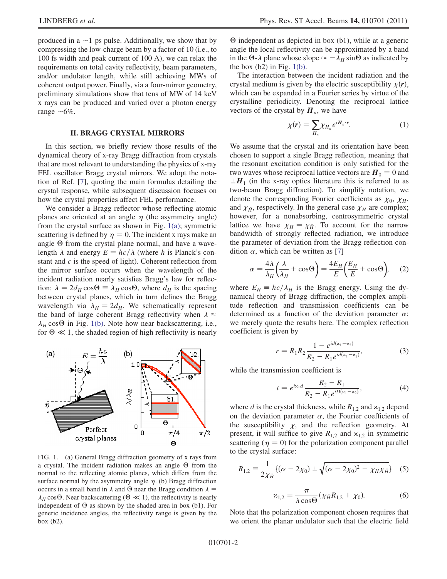produced in a  $\sim$  1 ps pulse. Additionally, we show that by compressing the low-charge beam by a factor of 10 (i.e., to 100 fs width and peak current of 100 A), we can relax the requirements on total cavity reflectivity, beam parameters, and/or undulator length, while still achieving MWs of coherent output power. Finally, via a four-mirror geometry, preliminary simulations show that tens of MW of 14 keV x rays can be produced and varied over a photon energy range  $\sim 6\%$ .

# II. BRAGG CRYSTAL MIRRORS

In this section, we briefly review those results of the dynamical theory of x-ray Bragg diffraction from crystals that are most relevant to understanding the physics of x-ray FEL oscillator Bragg crystal mirrors. We adopt the notation of Ref. [[7](#page-12-6)], quoting the main formulas detailing the crystal response, while subsequent discussion focuses on how the crystal properties affect FEL performance.

We consider a Bragg reflector whose reflecting atomic planes are oriented at an angle  $\eta$  (the asymmetry angle) from the crystal surface as shown in Fig. [1\(a\);](#page-1-0) symmetric scattering is defined by  $\eta = 0$ . The incident x rays make an angle  $\Theta$  from the crystal plane normal, and have a wavelength  $\lambda$  and energy  $E = hc/\lambda$  (where h is Planck's con-<br>stant and c is the speed of light). Coherent reflection from stant and  $c$  is the speed of light). Coherent reflection from the mirror surface occurs when the wavelength of the incident radiation nearly satisfies Bragg's law for reflection:  $\lambda = 2d_H \cos \Theta = \lambda_H \cos \Theta$ , where  $d_H$  is the spacing<br>between crystal planes, which in turn defines the Bragg between crystal planes, which in turn defines the Bragg wavelength via  $\lambda_H = 2d_H$ . We schematically represent<br>the band of large coherent Bragg reflectivity when  $\lambda \approx$ the band of large coherent Bragg reflectivity when  $\lambda \approx$  $\lambda_H$  cos  $\Theta$  in Fig. [1\(b\).](#page-1-0) Note how near backscattering, i.e., for  $\Theta \ll 1$ , the shaded region of high reflectivity is nearly

<span id="page-1-1"></span>

<span id="page-1-0"></span>FIG. 1. (a) General Bragg diffraction geometry of x rays from a crystal. The incident radiation makes an angle  $\Theta$  from the normal to the reflecting atomic planes, which differs from the surface normal by the asymmetry angle  $\eta$ . (b) Bragg diffraction occurs in a small band in  $\lambda$  and  $\Theta$  near the Bragg condition  $\lambda$  $\lambda_H \cos \Theta$ . Near backscattering ( $\Theta \ll 1$ ), the reflectivity is nearly independent of  $\Theta$  as shown by the shaded area in box (b1). For independent of  $\Theta$  as shown by the shaded area in box (b1). For generic incidence angles, the reflectivity range is given by the box (b2).

 $\Theta$  independent as depicted in box (b1), while at a generic angle the local reflectivity can be approximated by a band in the  $\Theta$ - $\lambda$  plane whose slope  $\approx -\lambda_H \sin \Theta$  as indicated by the box (b2) in Fig. 1(b) the box  $(b2)$  in Fig.  $1(b)$ .

The interaction between the incident radiation and the crystal medium is given by the electric susceptibility  $\chi(r)$ , which can be expanded in a Fourier series by virtue of the crystalline periodicity. Denoting the reciprocal lattice vectors of the crystal by  $H_n$ , we have

$$
\chi(r) = \sum_{H_n} \chi_{H_n} e^{iH_n \cdot r}.\tag{1}
$$

We assume that the crystal and its orientation have been chosen to support a single Bragg reflection, meaning that the resonant excitation condition is only satisfied for the two waves whose reciprocal lattice vectors are  $H_0 = 0$  and  $\pm H_1$  (in the x-ray optics literature this is referred to as two-beam Bragg diffraction). To simplify notation, we denote the corresponding Fourier coefficients as  $\chi_0$ ,  $\chi_H$ , and  $\chi_{\bar{H}}$ , respectively. In the general case  $\chi_H$  are complex; however, for a nonabsorbing, centrosymmetric crystal lattice we have  $\chi_H = \chi_{\bar{H}}$ . To account for the narrow<br>handwidth of strongly reflected radiation we introduce bandwidth of strongly reflected radiation, we introduce the parameter of deviation from the Bragg reflection condition  $\alpha$ , which can be written as [\[7](#page-12-6)]

<span id="page-1-3"></span>
$$
\alpha = \frac{4\lambda}{\lambda_H} \left( \frac{\lambda}{\lambda_H} + \cos \Theta \right) = \frac{4E_H}{E} \left( \frac{E_H}{E} + \cos \Theta \right), \quad (2)
$$

where  $E_H \equiv hc/\lambda_H$  is the Bragg energy. Using the dy-<br>namical theory of Bragg diffraction, the complex amplinamical theory of Bragg diffraction, the complex amplitude reflection and transmission coefficients can be determined as a function of the deviation parameter  $\alpha$ ; we merely quote the results here. The complex reflection coefficient is given by

$$
r = R_1 R_2 \frac{1 - e^{id(\kappa_1 - \kappa_2)}}{R_2 - R_1 e^{id(\kappa_1 - \kappa_2)}},
$$
(3)

<span id="page-1-2"></span>while the transmission coefficient is

$$
t = e^{i\alpha_1 d} \frac{R_2 - R_1}{R_2 - R_1 e^{iD(\alpha_1 - \alpha_2)}},\tag{4}
$$

where d is the crystal thickness, while  $R_{1,2}$  and  $x_{1,2}$  depend on the deviation parameter  $\alpha$ , the Fourier coefficients of the susceptibility  $\chi$ , and the reflection geometry. At present, it will suffice to give  $R_{1,2}$  and  $x_{1,2}$  in symmetric scattering ( $\eta = 0$ ) for the polarization component parallel to the crystal surface:

$$
R_{1,2} = \frac{1}{2\chi_{\bar{H}}} \{ (\alpha - 2\chi_0) \pm \sqrt{(\alpha - 2\chi_0)^2 - \chi_H \chi_{\bar{H}} } \} \quad (5)
$$

$$
\kappa_{1,2} \equiv \frac{\pi}{\lambda \cos \Theta} (\chi_{\bar{H}} R_{1,2} + \chi_0).
$$
 (6)

Note that the polarization component chosen requires that we orient the planar undulator such that the electric field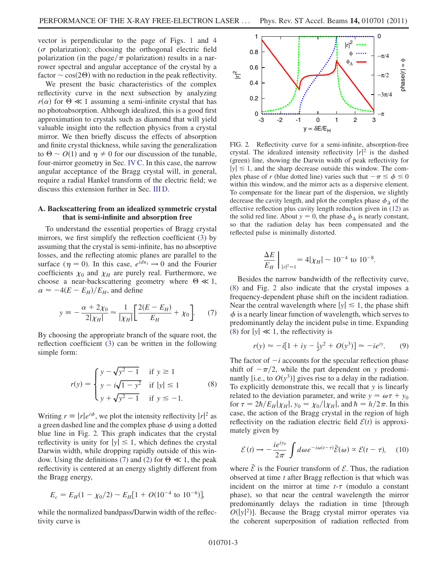vector is perpendicular to the page of Figs. [1](#page-1-1) and [4](#page-5-0) ( $\sigma$  polarization); choosing the orthogonal electric field polarization (in the page/ $\pi$  polarization) results in a narrower spectral and angular acceptance of the crystal by a factor  $\sim$  cos(2 $\Theta$ ) with no reduction in the peak reflectivity.

We present the basic characteristics of the complex reflectivity curve in the next subsection by analyzing  $r(\alpha)$  for  $\Theta \ll 1$  assuming a semi-infinite crystal that has no photoabsorption. Although idealized, this is a good first approximation to crystals such as diamond that will yield valuable insight into the reflection physics from a crystal mirror. We then briefly discuss the effects of absorption and finite crystal thickness, while saving the generalization to  $\Theta \sim O(1)$  and  $\eta \neq 0$  for our discussion of the tunable, four-mirror geometry in Sec. IV C. In this case, the narrow angular acceptance of the Bragg crystal will, in general, require a radial Hankel transform of the electric field; we discuss this extension further in Sec. III D.

## A. Backscattering from an idealized symmetric crystal that is semi-infinite and absorption free

To understand the essential properties of Bragg crystal mirrors, we first simplify the reflection coefficient [\(3](#page-1-2)) by assuming that the crystal is semi-infinite, has no absorptive losses, and the reflecting atomic planes are parallel to the surface ( $\eta = 0$ ). In this case,  $e^{idx_1} \rightarrow 0$  and the Fourier coefficients  $\chi_0$  and  $\chi_H$  are purely real. Furthermore, we choose a near-backscattering geometry where  $\Theta \ll 1$ ,  $\alpha \approx -4(E-E_H)/E_H$ , and define

<span id="page-2-1"></span>
$$
y \equiv -\frac{\alpha + 2\chi_0}{2|\chi_H|} \approx \frac{1}{|\chi_H|} \left[ \frac{2(E - E_H)}{E_H} + \chi_0 \right].
$$
 (7)

<span id="page-2-2"></span>By choosing the appropriate branch of the square root, the reflection coefficient ([3\)](#page-1-2) can be written in the following simple form:

$$
r(y) = \begin{cases} y - \sqrt{y^2 - 1} & \text{if } y \ge 1 \\ y - i\sqrt{1 - y^2} & \text{if } |y| \le 1 \\ y + \sqrt{y^2 - 1} & \text{if } y \le -1. \end{cases}
$$
 (8)

Writing  $r \equiv |r|e^{i\phi}$ , we plot the intensity reflectivity  $|r|^2$  as a green dashed line and the complex phase  $\phi$  using a dotted a green dashed line and the complex phase  $\phi$  using a dotted blue line in Fig. [2.](#page-2-0) This graph indicates that the crystal reflectivity is unity for  $|y| \le 1$ , which defines the crystal Darwin width, while dropping rapidly outside of this win-dow. Using the definitions [\(7\)](#page-2-1) and ([2](#page-1-3)) for  $\Theta \ll 1$ , the peak reflectivity is centered at an energy slightly different from the Bragg energy,

<span id="page-2-3"></span>
$$
E_c = E_H (1 - \chi_0/2) \sim E_H [1 + O(10^{-4} \text{ to } 10^{-6})],
$$

while the normalized bandpass/Darwin width of the reflectivity curve is

<span id="page-2-0"></span>

FIG. 2. Reflectivity curve for a semi-infinite, absorption-free crystal. The idealized intensity reflectivity  $|r|^2$  is the dashed (green) line showing the Darwin width of peak reflectivity for (green) line, showing the Darwin width of peak reflectivity for  $|y| \leq 1$ , and the sharp decrease outside this window. The complex phase of r (blue dotted line) varies such that  $-\pi \le \phi \le 0$ within this window, and the mirror acts as a dispersive element. To compensate for the linear part of the dispersion, we slightly decrease the cavity length, and plot the complex phase  $\phi_{\Delta}$  of the effective reflection plus cavity length reduction given in ([12](#page-3-0)) as the solid red line. About  $y = 0$ , the phase  $\phi_{\Delta}$  is nearly constant, so that the radiation delay has been compensated and the reflected pulse is minimally distorted.

$$
\frac{\Delta E}{E_H}\bigg|_{|r|^2=1} = 4|\chi_H| \sim 10^{-4} \text{ to } 10^{-8}.
$$

Besides the narrow bandwidth of the reflectivity curve, [\(8\)](#page-2-2) and Fig. [2](#page-2-0) also indicate that the crystal imposes a frequency-dependent phase shift on the incident radiation. Near the central wavelength where  $|y| \le 1$ , the phase shift  $\phi$  is a nearly linear function of wavelength, which serves to predominantly delay the incident pulse in time. Expanding [\(8\)](#page-2-2) for  $|y| \ll 1$ , the reflectivity is

$$
r(y) \approx -i[1 + iy - \frac{1}{2}y^2 + O(y^3)] \approx -ie^{iy}.
$$
 (9)

The factor of  $-i$  accounts for the specular reflection phase shift of  $-\pi/2$ , while the part dependent on y predominantly [i.e., to  $O(y^3)$ ] gives rise to a delay in the radiation. To explicitly demonstrate this, we recall that y is linearly related to the deviation parameter, and write  $y = \omega \tau + y_0$ for  $\tau = 2\hbar/E_H|\chi_H|$ ,  $y_0 = \chi_0/|\chi_H|$ , and  $\hbar = h/2\pi$ . In this case, the action of the Bragg crystal in the region of high reflectivity on the radiation electric field  $\mathcal{E}(t)$  is approximately given by

$$
\mathcal{E}(t) \to -\frac{ie^{iy_0}}{2\pi} \int d\omega e^{-i\omega(t-\tau)} \tilde{\mathcal{E}}(\omega) \propto \mathcal{E}(t-\tau), \quad (10)
$$

where  $\tilde{\mathcal{E}}$  is the Fourier transform of  $\mathcal{E}$ . Thus, the radiation observed at time  $t$  after Bragg reflection is that which was incident on the mirror at time  $t-\tau$  (modulo a constant phase), so that near the central wavelength the mirror predominantly delays the radiation in time [through  $O(|y|^2)$ ]. Because the Bragg crystal mirror operates via<br>the coherent superposition of radiation reflected from the coherent superposition of radiation reflected from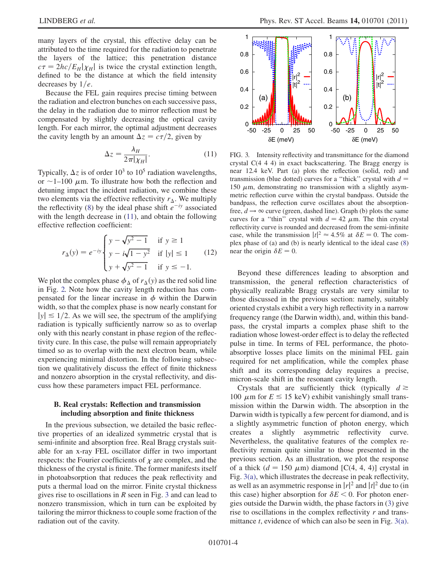many layers of the crystal, this effective delay can be attributed to the time required for the radiation to penetrate the layers of the lattice; this penetration distance  $c\tau = 2hc/E_H|\chi_H|$  is twice the crystal extinction length, defined to be the distance at which the field intensity decreases by  $1/e$ .

Because the FEL gain requires precise timing between the radiation and electron bunches on each successive pass, the delay in the radiation due to mirror reflection must be compensated by slightly decreasing the optical cavity length. For each mirror, the optimal adjustment decreases the cavity length by an amount  $\Delta z = c\tau/2$ , given by

$$
\Delta z = \frac{\lambda_H}{2\pi|\chi_H|}.\tag{11}
$$

<span id="page-3-1"></span>Typically,  $\Delta z$  is of order 10<sup>3</sup> to 10<sup>5</sup> radiation wavelengths, or  $\sim$  1–100  $\mu$ m. To illustrate how both the reflection and detuning impact the incident radiation, we combine these two elements via the effective reflectivity  $r_{\Lambda}$ . We multiply the reflectivity ([8\)](#page-2-2) by the ideal phase shift  $e^{-iy}$  associated with the length decrease in  $(11)$ , and obtain the following effective reflection coefficient:

<span id="page-3-0"></span>
$$
r_{\Delta}(y) = e^{-iy} \begin{cases} y - \sqrt{y^2 - 1} & \text{if } y \ge 1 \\ y - i\sqrt{1 - y^2} & \text{if } |y| \le 1 \\ y + \sqrt{y^2 - 1} & \text{if } y \le -1. \end{cases}
$$
 (12)

We plot the complex phase  $\phi_{\Delta}$  of  $r_{\Delta}(y)$  as the red solid line in Fig. [2.](#page-2-0) Note how the cavity length reduction has compensated for the linear increase in  $\phi$  within the Darwin width, so that the complex phase is now nearly constant for  $|y| \leq 1/2$ . As we will see, the spectrum of the amplifying radiation is typically sufficiently narrow so as to overlap only with this nearly constant in phase region of the reflectivity cure. In this case, the pulse will remain appropriately timed so as to overlap with the next electron beam, while experiencing minimal distortion. In the following subsection we qualitatively discuss the effect of finite thickness and nonzero absorption in the crystal reflectivity, and discuss how these parameters impact FEL performance.

### B. Real crystals: Reflection and transmission including absorption and finite thickness

In the previous subsection, we detailed the basic reflective properties of an idealized symmetric crystal that is semi-infinite and absorption free. Real Bragg crystals suitable for an x-ray FEL oscillator differ in two important respects: the Fourier coefficients of  $\chi$  are complex, and the thickness of the crystal is finite. The former manifests itself in photoabsorption that reduces the peak reflectivity and puts a thermal load on the mirror. Finite crystal thickness gives rise to oscillations in  $R$  seen in Fig. [3](#page-3-2) and can lead to nonzero transmission, which in turn can be exploited by tailoring the mirror thickness to couple some fraction of the radiation out of the cavity.

<span id="page-3-2"></span>

<span id="page-3-3"></span>FIG. 3. Intensity reflectivity and transmittance for the diamond crystal C(4 4 4) in exact backscattering. The Bragg energy is near 12.4 keV. Part (a) plots the reflection (solid, red) and transmission (blue dotted) curves for a "thick" crystal with  $d =$ 150  $\mu$ m, demonstrating no transmission with a slightly asymmetric reflection curve within the crystal bandpass. Outside the bandpass, the reflection curve oscillates about the absorptionfree,  $d \rightarrow \infty$  curve (green, dashed line). Graph (b) plots the same curves for a "thin" crystal with  $d = 42 \mu m$ . The thin crystal reflectivity curve is rounded and decreased from the semi-infinite case, while the transmission  $|t|^2 \approx 4.5\%$  at  $\delta E = 0$ . The com-<br>plex phase of (a) and (b) is pearly identical to the ideal case (8) plex phase of (a) and (b) is nearly identical to the ideal case [\(8\)](#page-2-2) hear the origin  $\delta E = 0$ .

Beyond these differences leading to absorption and transmission, the general reflection characteristics of physically realizable Bragg crystals are very similar to those discussed in the previous section: namely, suitably oriented crystals exhibit a very high reflectivity in a narrow frequency range (the Darwin width), and, within this bandpass, the crystal imparts a complex phase shift to the radiation whose lowest-order effect is to delay the reflected pulse in time. In terms of FEL performance, the photoabsorptive losses place limits on the minimal FEL gain required for net amplification, while the complex phase shift and its corresponding delay requires a precise, micron-scale shift in the resonant cavity length.

Crystals that are sufficiently thick (typically  $d \ge$ 100  $\mu$ m for  $E \le 15$  keV) exhibit vanishingly small transmission within the Darwin width. The absorption in the Darwin width is typically a few percent for diamond, and is a slightly asymmetric function of photon energy, which creates a slightly asymmetric reflectivity curve. Nevertheless, the qualitative features of the complex reflectivity remain quite similar to those presented in the previous section. As an illustration, we plot the response of a thick  $(d = 150 \mu m)$  diamond [C(4, 4, 4)] crystal in Fig. [3\(a\),](#page-3-3) which illustrates the decrease in peak reflectivity, as well as an asymmetric response in  $|r|^2$  and  $|r|^2$  due to (in this case) higher absorption for  $\delta F < 0$ . For photon enerthis case) higher absorption for  $\delta E < 0$ . For photon energies outside the Darwin width, the phase factors in [\(3](#page-1-2)) give rise to oscillations in the complex reflectivity  $r$  and transmittance  $t$ , evidence of which can also be seen in Fig.  $3(a)$ .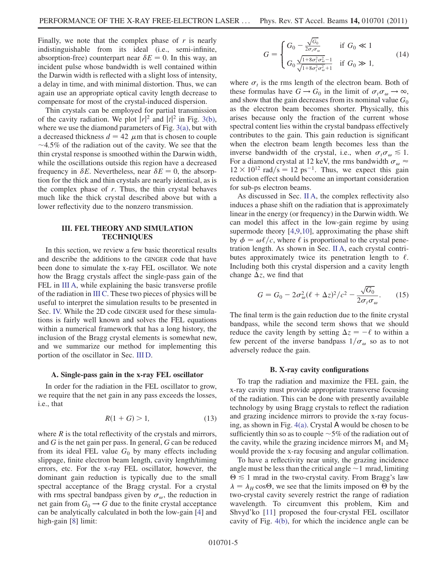Finally, we note that the complex phase of  $r$  is nearly indistinguishable from its ideal (i.e., semi-infinite, absorption-free) counterpart near  $\delta E = 0$ . In this way, an incident pulse whose bandwidth is well contained within incident pulse whose bandwidth is well contained within the Darwin width is reflected with a slight loss of intensity, a delay in time, and with minimal distortion. Thus, we can again use an appropriate optical cavity length decrease to compensate for most of the crystal-induced dispersion.

Thin crystals can be employed for partial transmission of the cavity radiation. We plot  $|r|^2$  and  $|r|^2$  in Fig. [3\(b\)](#page-3-3),<br>where we use the diamond parameters of Fig. 3(a) but with where we use the diamond parameters of Fig. [3\(a\)](#page-3-3), but with a decreased thickness  $d = 42 \mu m$  that is chosen to couple  $\sim$ 4.5% of the radiation out of the cavity. We see that the thin crystal response is smoothed within the Darwin width, while the oscillations outside this region have a decreased frequency in  $\delta E$ . Nevertheless, near  $\delta E = 0$ , the absorption for the thick and thin crystals are nearly identical as is tion for the thick and thin crystals are nearly identical, as is the complex phase of  $r$ . Thus, the thin crystal behaves much like the thick crystal described above but with a lower reflectivity due to the nonzero transmission.

# III. FEL THEORY AND SIMULATION **TECHNIQUES**

In this section, we review a few basic theoretical results and describe the additions to the GINGER code that have been done to simulate the x-ray FEL oscillator. We note how the Bragg crystals affect the single-pass gain of the FEL in III A, while explaining the basic transverse profile of the radiation in III C. These two pieces of physics will be useful to interpret the simulation results to be presented in Sec. IV. While the 2D code GINGER used for these simulations is fairly well known and solves the FEL equations within a numerical framework that has a long history, the inclusion of the Bragg crystal elements is somewhat new, and we summarize our method for implementing this portion of the oscillator in Sec. III D.

#### A. Single-pass gain in the x-ray FEL oscillator

In order for the radiation in the FEL oscillator to grow, we require that the net gain in any pass exceeds the losses, i.e., that

$$
R(1+G) > 1,\tag{13}
$$

where  $R$  is the total reflectivity of the crystals and mirrors, and G is the net gain per pass. In general, G can be reduced from its ideal FEL value  $G_0$  by many effects including slippage, finite electron beam length, cavity length/timing errors, etc. For the x-ray FEL oscillator, however, the dominant gain reduction is typically due to the small spectral acceptance of the Bragg crystal. For a crystal with rms spectral bandpass given by  $\sigma_{\omega}$ , the reduction in net gain from  $G_0 \rightarrow G$  due to the finite crystal acceptance can be analytically calculated in both the low-gain [\[4\]](#page-12-3) and high-gain [[8\]](#page-12-7) limit:

<span id="page-4-0"></span>
$$
G = \begin{cases} G_0 - \frac{\sqrt{G_0}}{2\sigma_t \sigma_\omega} & \text{if } G_0 \ll 1\\ G_0 \frac{\sqrt{1 + 8\sigma_t^2 \sigma_\omega^2} - 1}{\sqrt{1 + 8\sigma_t^2 \sigma_\omega^2} + 1} & \text{if } G_0 \gg 1, \end{cases}
$$
(14)

where  $\sigma_t$  is the rms length of the electron beam. Both of these formulas have  $G \to G_0$  in the limit of  $\sigma_t \sigma_\omega \to \infty$ , and show that the gain decreases from its nominal value  $G_0$ as the electron beam becomes shorter. Physically, this arises because only the fraction of the current whose spectral content lies within the crystal bandpass effectively contributes to the gain. This gain reduction is significant when the electron beam length becomes less than the inverse bandwidth of the crystal, i.e., when  $\sigma_t \sigma_\omega \leq 1$ . For a diamond crystal at 12 keV, the rms bandwidth  $\sigma_{\omega} \approx$  $12 \times 10^{12}$  rad/s = 12 ps<sup>-1</sup>. Thus, we expect this gain reduction effect should become an important consideration for sub-ps electron beams.

As discussed in Sec. [II A,](#page-2-3) the complex reflectivity also induces a phase shift on the radiation that is approximately linear in the energy (or frequency) in the Darwin width. We can model this affect in the low-gain regime by using supermode theory [[4](#page-12-3),[9,](#page-12-8)[10](#page-12-9)], approximating the phase shift by  $\phi = \omega \ell/c$ , where  $\ell$  is proportional to the crystal penetration length. As shown in Sec. [II A](#page-2-3), each crystal contributes approximately twice its penetration length to  $\ell$ . Including both this crystal dispersion and a cavity length change  $\Delta z$ , we find that

$$
G = G_0 - 2\sigma_{\omega}^2(\ell + \Delta z)^2/c^2 - \frac{\sqrt{G_0}}{2\sigma_t \sigma_{\omega}}.
$$
 (15)

The final term is the gain reduction due to the finite crystal bandpass, while the second term shows that we should reduce the cavity length by setting  $\Delta z = -\ell$  to within a few percent of the inverse bandpass  $1/\sigma_{\omega}$  so as to not adversely reduce the gain.

#### B. X-ray cavity configurations

To trap the radiation and maximize the FEL gain, the x-ray cavity must provide appropriate transverse focusing of the radiation. This can be done with presently available technology by using Bragg crystals to reflect the radiation and grazing incidence mirrors to provide the x-ray focusing, as shown in Fig. [4\(a\)](#page-5-1). Crystal A would be chosen to be sufficiently thin so as to couple  $\sim$  5% of the radiation out of the cavity, while the grazing incidence mirrors  $M_1$  and  $M_2$ would provide the x-ray focusing and angular collimation.

To have a reflectivity near unity, the grazing incidence angle must be less than the critical angle  $\sim$  1 mrad, limiting  $\Theta \leq 1$  mrad in the two-crystal cavity. From Bragg's law  $\lambda = \lambda_H \cos \Theta$ , we see that the limits imposed on  $\Theta$  by the two-crystal cavity severely restrict the range of radiation two-crystal cavity severely restrict the range of radiation wavelength. To circumvent this problem, Kim and Shvyd'ko [[11](#page-12-10)] proposed the four-crystal FEL oscillator cavity of Fig. [4\(b\)](#page-5-1), for which the incidence angle can be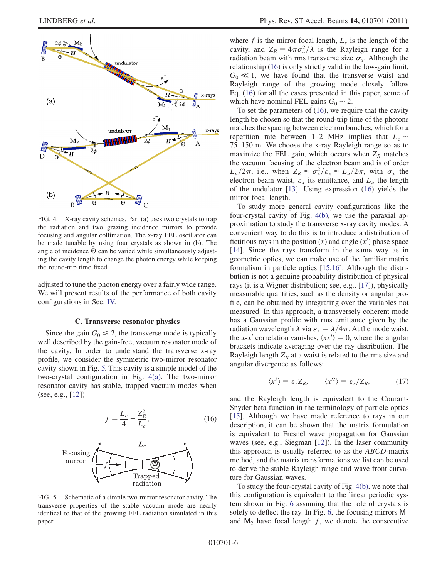<span id="page-5-0"></span>

<span id="page-5-1"></span>FIG. 4. X-ray cavity schemes. Part (a) uses two crystals to trap the radiation and two grazing incidence mirrors to provide focusing and angular collimation. The x-ray FEL oscillator can be made tunable by using four crystals as shown in (b). The angle of incidence  $\Theta$  can be varied while simultaneously adjusting the cavity length to change the photon energy while keeping the round-trip time fixed.

adjusted to tune the photon energy over a fairly wide range. We will present results of the performance of both cavity configurations in Sec. IV.

#### C. Transverse resonator physics

Since the gain  $G_0 \le 2$ , the transverse mode is typically well described by the gain-free, vacuum resonator mode of the cavity. In order to understand the transverse x-ray profile, we consider the symmetric two-mirror resonator cavity shown in Fig. [5.](#page-5-2) This cavity is a simple model of the two-crystal configuration in Fig. [4\(a\)](#page-5-1). The two-mirror resonator cavity has stable, trapped vacuum modes when (see, e.g., [[12](#page-12-11)])

$$
f = \frac{L_c}{4} + \frac{Z_R^2}{L_c},
$$
 (16)

<span id="page-5-3"></span><span id="page-5-2"></span>

FIG. 5. Schematic of a simple two-mirror resonator cavity. The transverse properties of the stable vacuum mode are nearly identical to that of the growing FEL radiation simulated in this paper.

where f is the mirror focal length,  $L_c$  is the length of the cavity, and  $Z_R = 4\pi\sigma_x^2/\lambda$  is the Rayleigh range for a radiation beam with rms transverse size  $\sigma$ . Although the radiation beam with rms transverse size  $\sigma_x$ . Although the relationship [\(16\)](#page-5-3) is only strictly valid in the low-gain limit,  $G_0 \ll 1$ , we have found that the transverse waist and Rayleigh range of the growing mode closely follow Eq. ([16](#page-5-3)) for all the cases presented in this paper, some of which have nominal FEL gains  $G_0 \sim 2$ .

To set the parameters of [\(16\)](#page-5-3), we require that the cavity length be chosen so that the round-trip time of the photons matches the spacing between electron bunches, which for a repetition rate between 1–2 MHz implies that  $L_c \sim$ 75–150 m. We choose the x-ray Rayleigh range so as to maximize the FEL gain, which occurs when  $Z_R$  matches the vacuum focusing of the electron beam and is of order  $L_u/2\pi$ , i.e., when  $Z_R \approx \sigma_x^2/\varepsilon_x \approx L_u/2\pi$ , with  $\sigma_x$  the electron beam waist so its emittance and *L* the length electron beam waist,  $\varepsilon_x$  its emittance, and  $L_u$  the length of the undulator [[13](#page-12-12)]. Using expression ([16](#page-5-3)) yields the mirror focal length.

To study more general cavity configurations like the four-crystal cavity of Fig. [4\(b\)](#page-5-1), we use the paraxial approximation to study the transverse x-ray cavity modes. A convenient way to do this is to introduce a distribution of fictitious rays in the position  $(x)$  and angle  $(x')$  phase space [\[14\]](#page-12-13). Since the rays transform in the same way as in geometric optics, we can make use of the familiar matrix formalism in particle optics [[15](#page-12-14),[16](#page-12-15)]. Although the distribution is not a genuine probability distribution of physical rays (it is a Wigner distribution; see, e.g., [\[17\]](#page-12-16)), physically measurable quantities, such as the density or angular profile, can be obtained by integrating over the variables not measured. In this approach, a transversely coherent mode has a Gaussian profile with rms emittance given by the radiation wavelength  $\lambda$  via  $\varepsilon_r = \lambda/4\pi$ . At the mode waist,<br>the x-x' correlation vanishes  $\langle xy' \rangle = 0$  where the anoular the x-x' correlation vanishes,  $\langle xx' \rangle = 0$ , where the angular<br>brackets indicate averaging over the ray distribution. The brackets indicate averaging over the ray distribution. The Rayleigh length  $Z_R$  at a waist is related to the rms size and angular divergence as follows:

$$
\langle x^2 \rangle = \varepsilon_r Z_R, \qquad \langle x^2 \rangle = \varepsilon_r / Z_R, \tag{17}
$$

and the Rayleigh length is equivalent to the Courant-Snyder beta function in the terminology of particle optics [\[15\]](#page-12-14). Although we have made reference to rays in our description, it can be shown that the matrix formulation is equivalent to Fresnel wave propagation for Gaussian waves (see, e.g., Siegman [\[12\]](#page-12-11)). In the laser community this approach is usually referred to as the ABCD-matrix method, and the matrix transformations we list can be used to derive the stable Rayleigh range and wave front curvature for Gaussian waves.

To study the four-crystal cavity of Fig. [4\(b\),](#page-5-1) we note that this configuration is equivalent to the linear periodic system shown in Fig. [6](#page-6-0) assuming that the role of crystals is solely to deflect the ray. In Fig. [6,](#page-6-0) the focusing mirrors  $M_1$ and  $M_2$  have focal length f, we denote the consecutive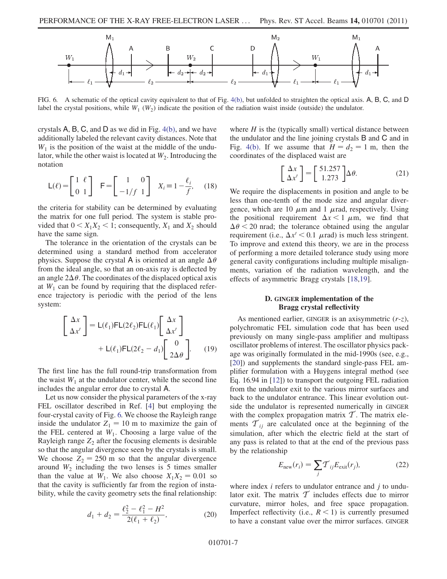<span id="page-6-0"></span>

FIG. 6. A schematic of the optical cavity equivalent to that of Fig. [4\(b\),](#page-5-1) but unfolded to straighten the optical axis. A, B, C, and D label the crystal positions, while  $W_1$  ( $W_2$ ) indicate the position of the radiation waist inside (outside) the undulator.

crystals A, B, C, and D as we did in Fig. [4\(b\),](#page-5-1) and we have additionally labeled the relevant cavity distances. Note that  $W_1$  is the position of the waist at the middle of the undulator, while the other waist is located at  $W_2$ . Introducing the notation

$$
L(\ell) = \begin{bmatrix} 1 & \ell \\ 0 & 1 \end{bmatrix} \quad F = \begin{bmatrix} 1 & 0 \\ -1/f & 1 \end{bmatrix} \quad X_i = 1 - \frac{\ell_i}{f}, \quad (18)
$$

the criteria for stability can be determined by evaluating the matrix for one full period. The system is stable provided that  $0 < X_1X_2 < 1$ ; consequently,  $X_1$  and  $X_2$  should have the same sign.

The tolerance in the orientation of the crystals can be determined using a standard method from accelerator physics. Suppose the crystal A is oriented at an angle  $\Delta\theta$ from the ideal angle, so that an on-axis ray is deflected by an angle  $2\Delta\theta$ . The coordinates of the displaced optical axis at  $W_1$  can be found by requiring that the displaced reference trajectory is periodic with the period of the lens system:

$$
\begin{bmatrix}\n\Delta x \\
\Delta x'\n\end{bmatrix} = L(\ell_1)FL(2\ell_2)FL(\ell_1) \begin{bmatrix}\n\Delta x \\
\Delta x'\n\end{bmatrix} + L(\ell_1)FL(2\ell_2 - d_1) \begin{bmatrix}\n0 \\
2\Delta \theta\n\end{bmatrix}.
$$
\n(19)

The first line has the full round-trip transformation from the waist  $W_1$  at the undulator center, while the second line includes the angular error due to crystal A.

Let us now consider the physical parameters of the x-ray FEL oscillator described in Ref. [\[4](#page-12-3)] but employing the four-crystal cavity of Fig. [6.](#page-6-0) We choose the Rayleigh range inside the undulator  $Z_1 = 10$  m to maximize the gain of the FEL centered at  $W_1$ . Choosing a large value of the Rayleigh range  $Z_2$  after the focusing elements is desirable so that the angular divergence seen by the crystals is small. We choose  $Z_2 = 250$  m so that the angular divergence around  $W_2$  including the two lenses is 5 times smaller than the value at  $W_1$ . We also choose  $X_1X_2 = 0.01$  so that the cavity is sufficiently far from the region of instability, while the cavity geometry sets the final relationship:

$$
d_1 + d_2 = \frac{\ell_2^2 - \ell_1^2 - H^2}{2(\ell_1 + \ell_2)},\tag{20}
$$

where  $H$  is the (typically small) vertical distance between the undulator and the line joining crystals B and C and in Fig. [4\(b\).](#page-5-1) If we assume that  $H = d_2 = 1$  m, then the coordinates of the displaced waist are

$$
\begin{bmatrix} \Delta x \\ \Delta x' \end{bmatrix} = \begin{bmatrix} 51.257 \\ 1.273 \end{bmatrix} \Delta \theta.
$$
 (21)

We require the displacements in position and angle to be less than one-tenth of the mode size and angular divergence, which are 10  $\mu$ m and 1  $\mu$ rad, respectively. Using the positional requirement  $\Delta x < 1 \mu m$ , we find that  $\Delta \theta$  < 20 nrad; the tolerance obtained using the angular requirement (i.e.,  $\Delta x'$  < 0.1  $\mu$ rad) is much less stringent. To improve and extend this theory, we are in the process of performing a more detailed tolerance study using more general cavity configurations including multiple misalignments, variation of the radiation wavelength, and the effects of asymmetric Bragg crystals [[18](#page-12-17),[19](#page-12-18)].

## D. GINGER implementation of the Bragg crystal reflectivity

As mentioned earlier, GINGER is an axisymmetric  $(r-z)$ , polychromatic FEL simulation code that has been used previously on many single-pass amplifier and multipass oscillator problems of interest. The oscillator physics package was originally formulated in the mid-1990s (see, e.g., [\[20\]](#page-12-19)) and supplements the standard single-pass FEL amplifier formulation with a Huygens integral method (see Eq. 16.94 in [[12](#page-12-11)]) to transport the outgoing FEL radiation from the undulator exit to the various mirror surfaces and back to the undulator entrance. This linear evolution outside the undulator is represented numerically in GINGER with the complex propagation matrix  $\mathcal T$ . The matrix elements  $\mathcal{T}_{ij}$  are calculated once at the beginning of the simulation, after which the electric field at the start of any pass is related to that at the end of the previous pass by the relationship

$$
E_{\text{new}}(r_i) = \sum_j \mathcal{T}_{ij} E_{\text{exit}}(r_j),\tag{22}
$$

where index  $i$  refers to undulator entrance and  $j$  to undulator exit. The matrix  $\mathcal T$  includes effects due to mirror curvature, mirror holes, and free space propagation. Imperfect reflectivity (i.e.,  $R < 1$ ) is currently presumed to have a constant value over the mirror surfaces. GINGER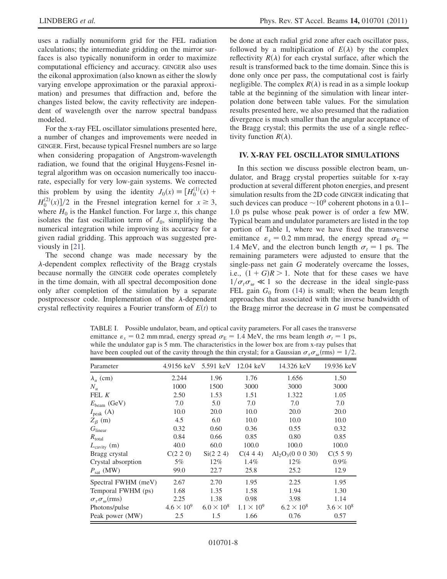uses a radially nonuniform grid for the FEL radiation calculations; the intermediate gridding on the mirror surfaces is also typically nonuniform in order to maximize computational efficiency and accuracy. GINGER also uses the eikonal approximation (also known as either the slowly varying envelope approximation or the paraxial approximation) and presumes that diffraction and, before the changes listed below, the cavity reflectivity are independent of wavelength over the narrow spectral bandpass modeled.

For the x-ray FEL oscillator simulations presented here, a number of changes and improvements were needed in GINGER. First, because typical Fresnel numbers are so large when considering propagation of Angstrom-wavelength radiation, we found that the original Huygens-Fesnel integral algorithm was on occasion numerically too inaccurate, especially for very low-gain systems. We corrected this problem by using the identity  $J_0(x) \equiv [H_0^{(1)}(x) + H_0^{(2)}(\omega)]/2$  in the Francel integration light  $\omega > 2$ .  $H_0^{(2)}(x)/2$  in the Fresnel integration kernel for  $x \ge 3$ ,<br>where  $H_2$  is the Hankel function. For large x this change where  $H_0$  is the Hankel function. For large x, this change isolates the fast oscillation term of  $J_0$ , simplifying the numerical integration while improving its accuracy for a given radial gridding. This approach was suggested previously in [\[21\]](#page-12-20).

The second change was made necessary by the --dependent complex reflectivity of the Bragg crystals because normally the GINGER code operates completely in the time domain, with all spectral decomposition done only after completion of the simulation by a separate postprocessor code. Implementation of the  $\lambda$ -dependent crystal reflectivity requires a Fourier transform of  $E(t)$  to be done at each radial grid zone after each oscillator pass, followed by a multiplication of  $E(\lambda)$  by the complex reflectivity  $R(\lambda)$  for each crystal surface after which the reflectivity  $R(\lambda)$  for each crystal surface, after which the result is transformed back to the time domain. Since this is result is transformed back to the time domain. Since this is done only once per pass, the computational cost is fairly negligible. The complex  $R(\lambda)$  is read in as a simple lookup table at the beginning of the simulation with linear intertable at the beginning of the simulation with linear interpolation done between table values. For the simulation results presented here, we also presumed that the radiation divergence is much smaller than the angular acceptance of the Bragg crystal; this permits the use of a single reflectivity function  $R(\lambda)$ .

# IV. X-RAY FEL OSCILLATOR SIMULATIONS

In this section we discuss possible electron beam, undulator, and Bragg crystal properties suitable for x-ray production at several different photon energies, and present simulation results from the 2D code GINGER indicating that such devices can produce  $\sim 10^9$  coherent photons in a 0.1– 1.0 ps pulse whose peak power is of order a few MW. Typical beam and undulator parameters are listed in the top portion of Table [I](#page-7-0), where we have fixed the transverse emittance  $\varepsilon_{\rm r} = 0.2$  mm mrad, the energy spread  $\sigma_{\rm E} =$ 1.4 MeV, and the electron bunch length  $\sigma_t = 1$  ps. The remaining parameters were adjusted to ensure that the single-pass net gain G moderately overcame the losses, i.e.,  $(1 + G)R > 1$ . Note that for these cases we have  $1/\sigma_t \sigma_\omega \ll 1$  so the decrease in the ideal single-pass FEL gain  $G_0$  from [\(14\)](#page-4-0) is small; when the beam length approaches that associated with the inverse bandwidth of the Bragg mirror the decrease in G must be compensated

<span id="page-7-0"></span>TABLE I. Possible undulator, beam, and optical cavity parameters. For all cases the transverse emittance  $\varepsilon_x = 0.2$  mm mrad, energy spread  $\sigma_E = 1.4$  MeV, the rms beam length  $\sigma_t = 1$  ps, while the undulator gap is 5 mm. The characteristics in the lower box are from x-ray pulses that have been coupled out of the cavity through the thin crystal; for a Gaussian  $\sigma_{\tau}\sigma_{\omega}$  (rms) = 1/2.

| Parameter                                  | 4.9156 keV          | 5.591 keV           | $12.04 \text{ keV}$ | 14.326 keV             | 19.936 keV          |
|--------------------------------------------|---------------------|---------------------|---------------------|------------------------|---------------------|
| $\lambda_{\mu}$ (cm)                       | 2.244               | 1.96                | 1.76                | 1.656                  | 1.50                |
| $N_u$                                      | 1000                | 1500                | 3000                | 3000                   | 3000                |
| FEL K                                      | 2.50                | 1.53                | 1.51                | 1.322                  | 1.05                |
| $E_{\text{beam}}$ (GeV)                    | 7.0                 | 5.0                 | 7.0                 | 7.0                    | 7.0                 |
| $I_{\text{peak}}(A)$                       | 10.0                | 20.0                | 10.0                | 20.0                   | 20.0                |
| $Z_{\beta}$ (m)                            | 4.5                 | 6.0                 | 10.0                | 10.0                   | 10.0                |
| G <sub>linear</sub>                        | 0.32                | 0.60                | 0.36                | 0.55                   | 0.32                |
| $R_{\text{total}}$                         | 0.84                | 0.66                | 0.85                | 0.80                   | 0.85                |
| $L_{\text{cavity}}$ (m)                    | 40.0                | 60.0                | 100.0               | 100.0                  | 100.0               |
| Bragg crystal                              | C(2 2 0)            | Si(2 2 4)           | C(444)              | $Al_2O_3(0\ 0\ 0\ 30)$ | C(5 5 9)            |
| Crystal absorption                         | $5\%$               | $12\%$              | $1.4\%$             | $12\%$                 | $0.9\%$             |
| $P_{\mathrm{sat}}\ (\mathrm{MW})$          | 99.0                | 22.7                | 25.8                | 25.2                   | 12.9                |
| Spectral FWHM (meV)                        | 2.67                | 2.70                | 1.95                | 2.25                   | 1.95                |
| Temporal FWHM (ps)                         | 1.68                | 1.35                | 1.58                | 1.94                   | 1.30                |
| $\sigma_{\tau}\sigma_{\omega}(\text{rms})$ | 2.25                | 1.38                | 0.98                | 3.98                   | 1.14                |
| Photons/pulse                              | $4.6 \times 10^{9}$ | $6.0 \times 10^{8}$ | $1.1 \times 10^{9}$ | $6.2 \times 10^{8}$    | $3.6 \times 10^{8}$ |
| Peak power (MW)                            | 2.5                 | 1.5                 | 1.66                | 0.76                   | 0.57                |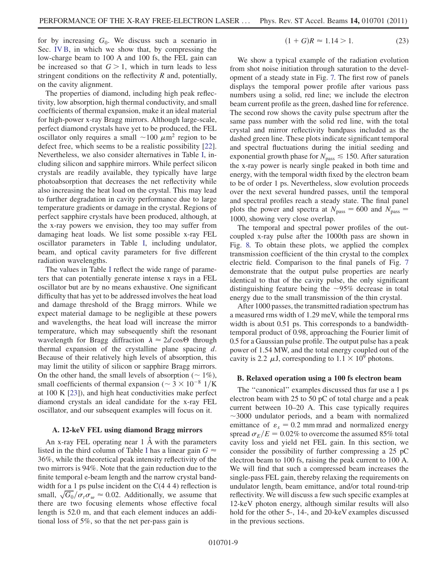for by increasing  $G_0$ . We discuss such a scenario in Sec. IV B, in which we show that, by compressing the low-charge beam to 100 A and 100 fs, the FEL gain can be increased so that  $G > 1$ , which in turn leads to less stringent conditions on the reflectivity  $R$  and, potentially, on the cavity alignment.

The properties of diamond, including high peak reflectivity, low absorption, high thermal conductivity, and small coefficients of thermal expansion, make it an ideal material for high-power x-ray Bragg mirrors. Although large-scale, perfect diamond crystals have yet to be produced, the FEL oscillator only requires a small  $\sim$ 100  $\mu$ m<sup>2</sup> region to be defect free, which seems to be a realistic possibility [\[22\]](#page-12-21). Nevertheless, we also consider alternatives in Table [I](#page-7-0), including silicon and sapphire mirrors. While perfect silicon crystals are readily available, they typically have large photoabsorption that decreases the net reflectivity while also increasing the heat load on the crystal. This may lead to further degradation in cavity performance due to large temperature gradients or damage in the crystal. Regions of perfect sapphire crystals have been produced, although, at the x-ray powers we envision, they too may suffer from damaging heat loads. We list some possible x-ray FEL oscillator parameters in Table [I,](#page-7-0) including undulator, beam, and optical cavity parameters for five different radiation wavelengths.

The values in Table [I](#page-7-0) reflect the wide range of parameters that can potentially generate intense x rays in a FEL oscillator but are by no means exhaustive. One significant difficulty that has yet to be addressed involves the heat load and damage threshold of the Bragg mirrors. While we expect material damage to be negligible at these powers and wavelengths, the heat load will increase the mirror temperature, which may subsequently shift the resonant wavelength for Bragg diffraction  $\lambda \approx 2d\cos\Theta$  through<br>thermal expansion of the crystalline plane spacing d thermal expansion of the crystalline plane spacing  $d$ . Because of their relatively high levels of absorption, this may limit the utility of silicon or sapphire Bragg mirrors. On the other hand, the small levels of absorption ( $\sim 1\%$ ), small coefficients of thermal expansion ( $\sim 3 \times 10^{-8}$  1/K at 100 K [[23](#page-12-22)]), and high heat conductivities make perfect diamond crystals an ideal candidate for the x-ray FEL oscillator, and our subsequent examples will focus on it.

#### A. 12-keV FEL using diamond Bragg mirrors

An x-ray FEL operating near  $1 \times$  N with the parameters listed in the third column of Table [I](#page-7-0) has a linear gain  $G \approx$ 36%, while the theoretical peak intensity reflectivity of the two mirrors is 94%. Note that the gain reduction due to the finite temporal e-beam length and the narrow crystal bandwidth for a 1 ps pulse incident on the  $C(4\ 4\ 4)$  reflection is small,  $\sqrt{G_0}/\sigma_t \sigma_\omega \approx 0.02$ . Additionally, we assume that there are two focusing elements whose effective focal there are two focusing elements whose effective focal length is 52.0 m, and that each element induces an additional loss of 5%, so that the net per-pass gain is

$$
(1+G)R \approx 1.14 > 1.
$$
 (23)

We show a typical example of the radiation evolution from shot noise initiation through saturation to the development of a steady state in Fig. [7.](#page-9-0) The first row of panels displays the temporal power profile after various pass numbers using a solid, red line; we include the electron beam current profile as the green, dashed line for reference. The second row shows the cavity pulse spectrum after the same pass number with the solid red line, with the total crystal and mirror reflectivity bandpass included as the dashed green line. These plots indicate significant temporal and spectral fluctuations during the initial seeding and exponential growth phase for  $N_{\text{pass}} \lesssim 150$ . After saturation the x-ray power is nearly single peaked in both time and energy, with the temporal width fixed by the electron beam to be of order 1 ps. Nevertheless, slow evolution proceeds over the next several hundred passes, until the temporal and spectral profiles reach a steady state. The final panel plots the power and spectra at  $N_{\text{pass}} = 600$  and  $N_{\text{pass}} =$ 1000, showing very close overlap.

The temporal and spectral power profiles of the outcoupled x-ray pulse after the 1000th pass are shown in Fig. [8.](#page-9-1) To obtain these plots, we applied the complex transmission coefficient of the thin crystal to the complex electric field. Comparison to the final panels of Fig. [7](#page-9-0) demonstrate that the output pulse properties are nearly identical to that of the cavity pulse, the only significant distinguishing feature being the  $\sim 95\%$  decrease in total energy due to the small transmission of the thin crystal.

After 1000 passes, the transmitted radiation spectrum has a measured rms width of 1.29 meV, while the temporal rms width is about 0.51 ps. This corresponds to a bandwidthtemporal product of 0.98, approaching the Fourier limit of 0.5 for a Gaussian pulse profile. The output pulse has a peak power of 1.54 MW, and the total energy coupled out of the cavity is 2.2  $\mu$ J, corresponding to 1.1  $\times$  10<sup>9</sup> photons.

## B. Relaxed operation using a 100 fs electron beam

The "canonical" examples discussed thus far use a 1 ps electron beam with 25 to 50 pC of total charge and a peak current between 10–20 A. This case typically requires  $\sim$ 3000 undulator periods, and a beam with normalized emittance of  $\varepsilon_x = 0.2$  mm mrad and normalized energy spread  $\sigma_E/E = 0.02\%$  to overcome the assumed 85% total cavity loss and yield net FEL gain. In this section, we consider the possibility of further compressing a 25 pC electron beam to 100 fs, raising the peak current to 100 A. We will find that such a compressed beam increases the single-pass FEL gain, thereby relaxing the requirements on undulator length, beam emittance, and/or total round-trip reflectivity. We will discuss a few such specific examples at 12-keV photon energy, although similar results will also hold for the other 5-, 14-, and 20-keV examples discussed in the previous sections.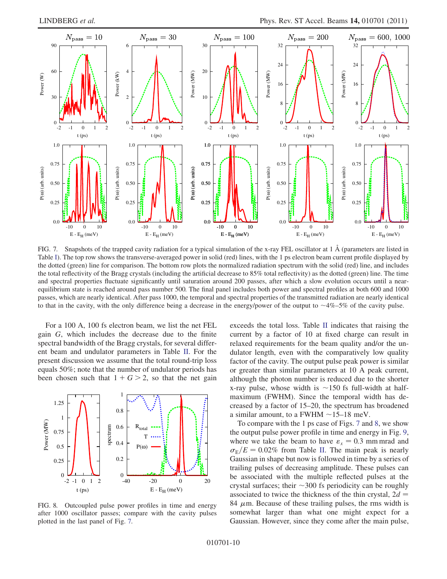<span id="page-9-0"></span>

FIG. 7. Snapshots of the trapped cavity radiation for a typical simulation of the x-ray FEL oscillator at 1 Å (parameters are listed in Table [I](#page-7-0)). The top row shows the transverse-averaged power in solid (red) lines, with the 1 ps electron beam current profile displayed by the dotted (green) line for comparison. The bottom row plots the normalized radiation spectrum with the solid (red) line, and includes the total reflectivity of the Bragg crystals (including the artificial decrease to 85% total reflectivity) as the dotted (green) line. The time and spectral properties fluctuate significantly until saturation around 200 passes, after which a slow evolution occurs until a nearequilibrium state is reached around pass number 500. The final panel includes both power and spectral profiles at both 600 and 1000 passes, which are nearly identical. After pass 1000, the temporal and spectral properties of the transmitted radiation are nearly identical to that in the cavity, with the only difference being a decrease in the energy/power of the output to  $\sim$ 4%–5% of the cavity pulse.

For a 100 A, 100 fs electron beam, we list the net FEL gain G, which includes the decrease due to the finite spectral bandwidth of the Bragg crystals, for several different beam and undulator parameters in Table [II](#page-10-0). For the present discussion we assume that the total round-trip loss equals 50%; note that the number of undulator periods has been chosen such that  $1 + G > 2$ , so that the net gain

<span id="page-9-1"></span>

FIG. 8. Outcoupled pulse power profiles in time and energy after 1000 oscillator passes; compare with the cavity pulses plotted in the last panel of Fig. [7.](#page-9-0)

exceeds the total loss. Table [II](#page-10-0) indicates that raising the current by a factor of 10 at fixed charge can result in relaxed requirements for the beam quality and/or the undulator length, even with the comparatively low quality factor of the cavity. The output pulse peak power is similar or greater than similar parameters at 10 A peak current, although the photon number is reduced due to the shorter x-ray pulse, whose width is  $\sim$ 150 fs full-width at halfmaximum (FWHM). Since the temporal width has decreased by a factor of 15–20, the spectrum has broadened a similar amount, to a FWHM  $\sim$ 15–18 meV.

To compare with the 1 ps case of Figs. [7](#page-9-0) and [8,](#page-9-1) we show the output pulse power profile in time and energy in Fig. [9](#page-10-1), where we take the beam to have  $\varepsilon_x = 0.3$  mm mrad and  $\sigma_{\rm E}/E=0.02\%$  from Table [II.](#page-10-0) The main peak is nearly Gaussian in shape but now is followed in time by a series of trailing pulses of decreasing amplitude. These pulses can be associated with the multiple reflected pulses at the crystal surfaces; their  $\sim$ 300 fs periodicity can be roughly associated to twice the thickness of the thin crystal,  $2d =$ 84  $\mu$ m. Because of these trailing pulses, the rms width is somewhat larger than what one might expect for a Gaussian. However, since they come after the main pulse,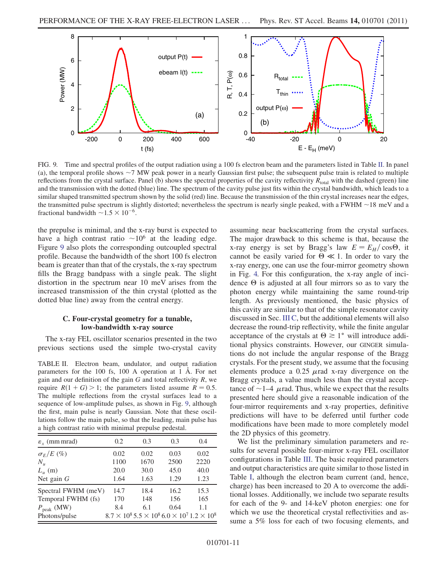<span id="page-10-1"></span>

FIG. 9. Time and spectral profiles of the output radiation using a 100 fs electron beam and the parameters listed in Table [II](#page-10-0). In panel (a), the temporal profile shows  $\sim$  7 MW peak power in a nearly Gaussian first pulse; the subsequent pulse train is related to multiple reflections from the crystal surface. Panel (b) shows the spectral properties of the cavity reflectivity  $R_{\text{total}}$  with the dashed (green) line and the transmission with the dotted (blue) line. The spectrum of the cavity pulse just fits within the crystal bandwidth, which leads to a similar shaped transmitted spectrum shown by the solid (red) line. Because the transmission of the thin crystal increases near the edges, the transmitted pulse spectrum is slightly distorted; nevertheless the spectrum is nearly single peaked, with a FWHM  $\sim$  18 meV and a fractional bandwidth  $\sim$  1.5  $\times$  10<sup>-6</sup>.

the prepulse is minimal, and the x-ray burst is expected to have a high contrast ratio  $\sim 10^6$  at the leading edge. Figure [9](#page-10-1) also plots the corresponding outcoupled spectral profile. Because the bandwidth of the short 100 fs electron beam is greater than that of the crystals, the x-ray spectrum fills the Bragg bandpass with a single peak. The slight distortion in the spectrum near 10 meV arises from the increased transmission of the thin crystal (plotted as the dotted blue line) away from the central energy.

# C. Four-crystal geometry for a tunable, low-bandwidth x-ray source

The x-ray FEL oscillator scenarios presented in the two previous sections used the simple two-crystal cavity

<span id="page-10-0"></span>TABLE II. Electron beam, undulator, and output radiation parameters for the  $100$  fs,  $100$  A operation at 1  $\AA$ . For net gain and our definition of the gain  $G$  and total reflectivity  $R$ , we require  $R(1 + G) > 1$ ; the parameters listed assume  $R = 0.5$ . The multiple reflections from the crystal surfaces lead to a sequence of low-amplitude pulses, as shown in Fig. [9,](#page-10-1) although the first, main pulse is nearly Gaussian. Note that these oscillations follow the main pulse, so that the leading, main pulse has a high contrast ratio with minimal prepulse pedestal.

| $\varepsilon_r$ (mm mrad) | 0.2  | 0.3                                                                     | 0.3  | 0.4  |
|---------------------------|------|-------------------------------------------------------------------------|------|------|
| $\sigma_F/E$ (%)          | 0.02 | 0.02                                                                    | 0.03 | 0.02 |
| $N_u$                     | 1100 | 1670                                                                    | 2500 | 2220 |
| $L_{\mu}$ (m)             | 20.0 | 30.0                                                                    | 45.0 | 40.0 |
| Net gain $G$              | 1.64 | 1.63                                                                    | 1.29 | 1.23 |
| Spectral FWHM (meV)       | 14.7 | 18.4                                                                    | 16.2 | 15.3 |
| Temporal FWHM (fs)        | 170  | 148                                                                     | 156  | 165  |
| $P_{\text{peak}}$ (MW)    | 8.4  | 6.1                                                                     | 0.64 | 1.1  |
| Photons/pulse             |      | $8.7 \times 10^8$ 5.5 $\times 10^8$ 6.0 $\times 10^7$ 1.2 $\times 10^8$ |      |      |

assuming near backscattering from the crystal surfaces. The major drawback to this scheme is that, because the x-ray energy is set by Bragg's law  $E = E_H / \cos \Theta$ , it cannot be easily varied for  $\Theta \ll 1$ . In order to vary the x-ray energy, one can use the four-mirror geometry shown in Fig. [4.](#page-5-0) For this configuration, the x-ray angle of incidence  $\Theta$  is adjusted at all four mirrors so as to vary the photon energy while maintaining the same round-trip length. As previously mentioned, the basic physics of this cavity are similar to that of the simple resonator cavity discussed in Sec. III C, but the additional elements will also decrease the round-trip reflectivity, while the finite angular acceptance of the crystals at  $\Theta \ge 1$ ° will introduce additional physics constraints. However, our GINGER simulations do not include the angular response of the Bragg crystals. For the present study, we assume that the focusing elements produce a  $0.25 \mu$ rad x-ray divergence on the Bragg crystals, a value much less than the crystal acceptance of  $\sim$  1–4  $\mu$  rad. Thus, while we expect that the results presented here should give a reasonable indication of the four-mirror requirements and x-ray properties, definitive predictions will have to be deferred until further code modifications have been made to more completely model the 2D physics of this geometry.

We list the preliminary simulation parameters and results for several possible four-mirror x-ray FEL oscillator configurations in Table [III](#page-11-0). The basic required parameters and output characteristics are quite similar to those listed in Table [I,](#page-7-0) although the electron beam current (and, hence, charge) has been increased to 20 A to overcome the additional losses. Additionally, we include two separate results for each of the 9- and 14-keV photon energies: one for which we use the theoretical crystal reflectivities and assume a 5% loss for each of two focusing elements, and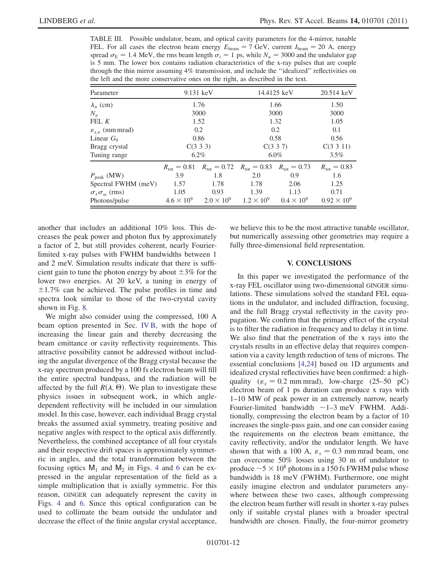<span id="page-11-0"></span>TABLE III. Possible undulator, beam, and optical cavity parameters for the 4-mirror, tunable FEL. For all cases the electron beam energy  $E_{\text{beam}} = 7 \text{ GeV}$ , current  $I_{\text{beam}} = 20 \text{ A}$ , energy spread  $\sigma_{\rm E}$  = 1.4 MeV, the rms beam length  $\sigma_t$  = 1 ps, while  $N_u$  = 3000 and the undulator gap is 5 mm. The lower box contains radiation characteristics of the x-ray pulses that are couple through the thin mirror assuming 4% transmission, and include the ''idealized'' reflectivities on the left and the more conservative ones on the right, as described in the text.

| Parameter                            | 9.131 keV |                                                                         | 14.4125 keV |                                                                                                 | 20.514 keV              |
|--------------------------------------|-----------|-------------------------------------------------------------------------|-------------|-------------------------------------------------------------------------------------------------|-------------------------|
| $\lambda_u$ (cm)                     | 1.76      |                                                                         | 1.66        |                                                                                                 | 1.50                    |
| $N_u$                                | 3000      |                                                                         | 3000        |                                                                                                 | 3000                    |
| FEL <i>K</i>                         | 1.52      |                                                                         | 1.32        |                                                                                                 | 1.05                    |
| $\varepsilon_{x,n}$ (mm mrad)        | 0.2       |                                                                         | 0.2         | 0.1                                                                                             |                         |
| Linear $G_0$                         | 0.86      |                                                                         | 0.58        |                                                                                                 | 0.56                    |
| Bragg crystal                        | C(3 3 3)  |                                                                         | C(3 3 7)    |                                                                                                 | $C(3 \ 3 \ 11)$         |
| Tuning range                         | $6.2\%$   |                                                                         | $6.0\%$     |                                                                                                 | $3.5\%$                 |
|                                      |           |                                                                         |             | $R_{\text{tot}} = 0.81$ $R_{\text{tot}} = 0.72$ $R_{\text{tot}} = 0.83$ $R_{\text{tot}} = 0.73$ | $R_{\text{tot}} = 0.83$ |
| $P_{\text{peak}}$ (MW)               | 3.9       | 1.8                                                                     | 2.0         | 0.9                                                                                             | 1.6                     |
| Spectral FWHM (meV)                  | 1.57      | 1.78                                                                    | 1.78        | 2.06                                                                                            | 1.25                    |
| $\sigma_{\tau}\sigma_{\omega}$ (rms) | 1.05      | 0.93                                                                    | 1.39        | 1.13                                                                                            | 0.71                    |
| Photons/pulse                        |           | $4.6 \times 10^9$ $2.0 \times 10^9$ $1.2 \times 10^9$ $0.4 \times 10^9$ |             |                                                                                                 | $0.92 \times 10^{9}$    |
|                                      |           |                                                                         |             |                                                                                                 |                         |

another that includes an additional 10% loss. This decreases the peak power and photon flux by approximately a factor of 2, but still provides coherent, nearly Fourierlimited x-ray pulses with FWHM bandwidths between 1 and 2 meV. Simulation results indicate that there is sufficient gain to tune the photon energy by about  $\pm 3\%$  for the lower two energies. At 20 keV, a tuning in energy of  $\pm 1.7\%$  can be achieved. The pulse profiles in time and spectra look similar to those of the two-crystal cavity shown in Fig. [8.](#page-9-1)

We might also consider using the compressed, 100 A beam option presented in Sec. IV B, with the hope of increasing the linear gain and thereby decreasing the beam emittance or cavity reflectivity requirements. This attractive possibility cannot be addressed without including the angular divergence of the Bragg crystal because the x-ray spectrum produced by a 100 fs electron beam will fill the entire spectral bandpass, and the radiation will be affected by the full  $R(\lambda, \Theta)$ . We plan to investigate these<br>physics issues in subsequent work in which anglephysics issues in subsequent work, in which angledependent reflectivity will be included in our simulation model. In this case, however, each individual Bragg crystal breaks the assumed axial symmetry, treating positive and negative angles with respect to the optical axis differently. Nevertheless, the combined acceptance of all four crystals and their respective drift spaces is approximately symmetric in angles, and the total transformation between the focusing optics  $M_1$  and  $M_2$  in Figs. [4](#page-5-0) and [6](#page-6-0) can be expressed in the angular representation of the field as a simple multiplication that is axially symmetric. For this reason, GINGER can adequately represent the cavity in Figs. [4](#page-5-0) and [6.](#page-6-0) Since this optical configuration can be used to collimate the beam outside the undulator and decrease the effect of the finite angular crystal acceptance, we believe this to be the most attractive tunable oscillator, but numerically assessing other geometries may require a fully three-dimensional field representation.

### V. CONCLUSIONS

In this paper we investigated the performance of the x-ray FEL oscillator using two-dimensional GINGER simulations. These simulations solved the standard FEL equations in the undulator, and included diffraction, focusing, and the full Bragg crystal reflectivity in the cavity propagation. We confirm that the primary effect of the crystal is to filter the radiation in frequency and to delay it in time. We also find that the penetration of the x rays into the crystals results in an effective delay that requires compensation via a cavity length reduction of tens of microns. The essential conclusions [\[4](#page-12-3),[24](#page-12-23)] based on 1D arguments and idealized crystal reflectivities have been confirmed: a highquality ( $\varepsilon_x = 0.2$  mm mrad), low-charge (25–50 pC) electron beam of 1 ps duration can produce x rays with 1–10 MW of peak power in an extremely narrow, nearly Fourier-limited bandwidth  $\sim$  1–3 meV FWHM. Additionally, compressing the electron beam by a factor of 10 increases the single-pass gain, and one can consider easing the requirements on the electron beam emittance, the cavity reflectivity, and/or the undulator length. We have shown that with a 100 A,  $\varepsilon_r = 0.3$  mm mrad beam, one can overcome 50% losses using 30 m of undulator to produce  $\sim$  5  $\times$  10<sup>8</sup> photons in a 150 fs FWHM pulse whose bandwidth is 18 meV (FWHM). Furthermore, one might easily imagine electron and undulator parameters anywhere between these two cases, although compressing the electron beam further will result in shorter x-ray pulses only if suitable crystal planes with a broader spectral bandwidth are chosen. Finally, the four-mirror geometry